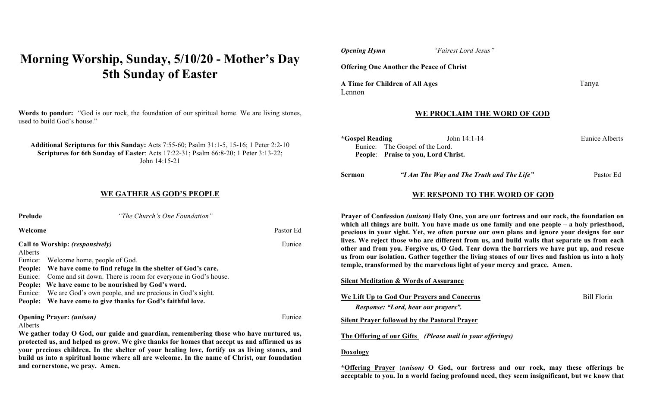# **Morning Worship, Sunday, 5/10/20 - Mother's Day 5th Sunday of Easter**

**Words to ponder:** "God is our rock, the foundation of our spiritual home. We are living stones, used to build God's house."

**Additional Scriptures for this Sunday:** Acts 7:55-60; Psalm 31:1-5, 15-16; 1 Peter 2:2-10 **Scriptures for 6th Sunday of Easter**: Acts 17:22-31; Psalm 66:8-20; 1 Peter 3:13-22; John 14:15-21

## **WE GATHER AS GOD'S PEOPLE**

| Prelude                                                                   | "The Church's One Foundation"                                                                                                                                                                                                                                                                                                                                     |           |
|---------------------------------------------------------------------------|-------------------------------------------------------------------------------------------------------------------------------------------------------------------------------------------------------------------------------------------------------------------------------------------------------------------------------------------------------------------|-----------|
| Welcome                                                                   |                                                                                                                                                                                                                                                                                                                                                                   | Pastor Ed |
| Alberts<br>Eunice:<br>People:<br>Eunice:<br>People:<br>Eunice:<br>People: | Call to Worship: (responsively)<br>Welcome home, people of God.<br>We have come to find refuge in the shelter of God's care.<br>Come and sit down. There is room for everyone in God's house.<br>We have come to be nourished by God's word.<br>We are God's own people, and are precious in God's sight.<br>We have come to give thanks for God's faithful love. | Eunice    |
| Alberts                                                                   | <b>Opening Prayer: (unison)</b><br>We gather today O God, our guide and guardian, remembering those who have nurtured us,<br>protected us, and helped us grow. We give thanks for homes that accept us and affirmed us as                                                                                                                                         | Eunice    |

**your precious children. In the shelter of your healing love, fortify us as living stones, and build us into a spiritual home where all are welcome. In the name of Christ, our foundation and cornerstone, we pray. Amen.** 

| <b>Opening Hymn</b>                             | "Fairest Lord Jesus" |       |
|-------------------------------------------------|----------------------|-------|
| <b>Offering One Another the Peace of Christ</b> |                      |       |
| A Time for Children of All Ages                 |                      | Tanya |

### **WE PROCLAIM THE WORD OF GOD**

| *Gospel Reading | John $14:1-14$                      | Eunice Alberts |
|-----------------|-------------------------------------|----------------|
|                 | Eunice: The Gospel of the Lord.     |                |
|                 | People: Praise to you, Lord Christ. |                |
|                 |                                     |                |

| Sermon | "I Am The Way and The Truth and The Life" | Pastor Ed |
|--------|-------------------------------------------|-----------|
|--------|-------------------------------------------|-----------|

## **WE RESPOND TO THE WORD OF GOD**

**Prayer of Confession** *(unison)* **Holy One, you are our fortress and our rock, the foundation on which all things are built. You have made us one family and one people – a holy priesthood, precious in your sight. Yet, we often pursue our own plans and ignore your designs for our lives. We reject those who are different from us, and build walls that separate us from each other and from you. Forgive us, O God. Tear down the barriers we have put up, and rescue us from our isolation. Gather together the living stones of our lives and fashion us into a holy temple, transformed by the marvelous light of your mercy and grace. Amen.**

#### **Silent Meditation & Words of Assurance**

**We Lift Up to God Our Prayers and Concerns**Bill Florin

## **Silent Prayer followed by the Pastoral Prayer**

*Response: "Lord, hear our prayers".*

**The Offering of our Gifts** *(Please mail in your offerings)* 

#### **Doxology**

Lennon

**\*Offering Prayer** (*unison)* **O God, our fortress and our rock, may these offerings be acceptable to you. In a world facing profound need, they seem insignificant, but we know that**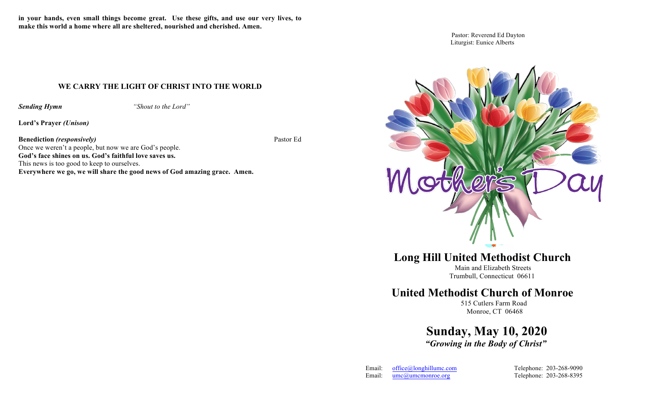**in your hands, even small things become great. Use these gifts, and use our very lives, to make this world a home where all are sheltered, nourished and cherished. Amen.**

## **WE CARRY THE LIGHT OF CHRIST INTO THE WORLD**

*Sending Hymn "Shout to the Lord"*

**Lord's Prayer** *(Unison)*

**Benediction** *(responsively)*Pastor Ed

Once we weren't a people, but now we are God's people. **God's face shines on us. God's faithful love saves us.**  This news is too good to keep to ourselves. **Everywhere we go, we will share the good news of God amazing grace. Amen.**

Pastor: Reverend Ed Dayton Liturgist: Eunice Alberts



**Long Hill United Methodist Church**

 Main and Elizabeth Streets Trumbull, Connecticut 06611

## **United Methodist Church of Monroe**

515 Cutlers Farm Road Monroe, CT 06468

 **Sunday, May 10, 2020** *"Growing in the Body of Christ"*

| Email: | $office@$ longhillumc.com |
|--------|---------------------------|
| Email: | $umca$ umcmonroe.org      |

Telephone: 203-268-9090 Telephone: 203-268-8395